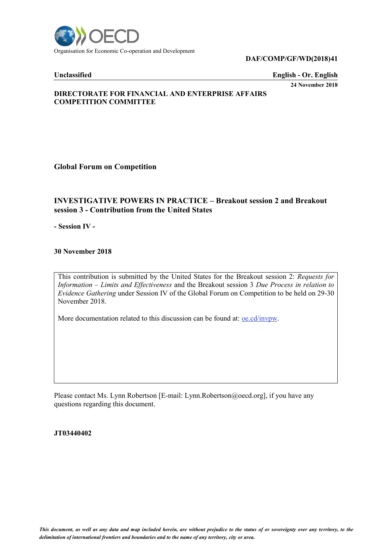

### **DAF/COMP/GF/WD(2018)41**

### **Unclassified English - Or. English**

**24 November 2018**

## **DIRECTORATE FOR FINANCIAL AND ENTERPRISE AFFAIRS COMPETITION COMMITTEE**

# **Global Forum on Competition**

# **INVESTIGATIVE POWERS IN PRACTICE – Breakout session 2 and Breakout session 3 - Contribution from the United States**

**- Session IV -**

### **30 November 2018**

This contribution is submitted by the United States for the Breakout session 2: *Requests for Information – Limits and Effectiveness* and the Breakout session 3 *Due Process in relation to Evidence Gathering* under Session IV of the Global Forum on Competition to be held on 29-30 November 2018.

More documentation related to this discussion can be found at: <u>oe.cd/invpw</u>.

Please contact Ms. Lynn Robertson [E-mail: Lynn.Robertson@oecd.org], if you have any questions regarding this document.

### **JT03440402**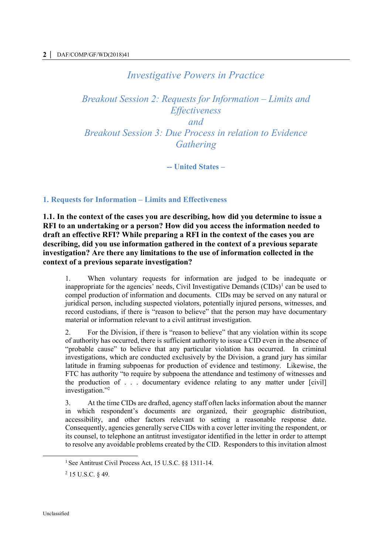# *Investigative Powers in Practice*

*Breakout Session 2: Requests for Information – Limits and Effectiveness and Breakout Session 3: Due Process in relation to Evidence Gathering*

**-- United States –**

## **1. Requests for Information – Limits and Effectiveness**

**1.1. In the context of the cases you are describing, how did you determine to issue a RFI to an undertaking or a person? How did you access the information needed to draft an effective RFI? While preparing a RFI in the context of the cases you are describing, did you use information gathered in the context of a previous separate investigation? Are there any limitations to the use of information collected in the context of a previous separate investigation?**

1. When voluntary requests for information are judged to be inadequate or inappropriate for the agencies' needs, Civil Investigative Demands  $(CIDs)^1$  can be used to compel production of information and documents. CIDs may be served on any natural or juridical person, including suspected violators, potentially injured persons, witnesses, and record custodians, if there is "reason to believe" that the person may have documentary material or information relevant to a civil antitrust investigation.

2. For the Division, if there is "reason to believe" that any violation within its scope of authority has occurred, there is sufficient authority to issue a CID even in the absence of "probable cause" to believe that any particular violation has occurred. In criminal investigations, which are conducted exclusively by the Division, a grand jury has similar latitude in framing subpoenas for production of evidence and testimony. Likewise, the FTC has authority "to require by subpoena the attendance and testimony of witnesses and the production of . . . documentary evidence relating to any matter under [civil] investigation."<sup>2</sup>

3. At the time CIDs are drafted, agency staff often lacks information about the manner in which respondent's documents are organized, their geographic distribution, accessibility, and other factors relevant to setting a reasonable response date. Consequently, agencies generally serve CIDs with a cover letter inviting the respondent, or its counsel, to telephone an antitrust investigator identified in the letter in order to attempt to resolve any avoidable problems created by the CID. Responders to this invitation almost

<sup>1</sup> See Antitrust Civil Process Act, 15 U.S.C. §§ 1311-14.

<sup>2</sup> 15 U.S.C. § 49.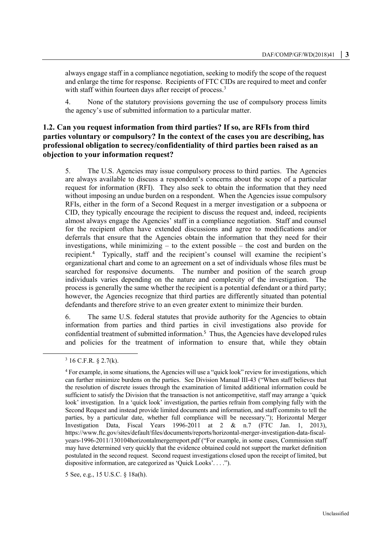always engage staff in a compliance negotiation, seeking to modify the scope of the request and enlarge the time for response. Recipients of FTC CIDs are required to meet and confer with staff within fourteen days after receipt of process.<sup>3</sup>

4. None of the statutory provisions governing the use of compulsory process limits the agency's use of submitted information to a particular matter.

# **1.2. Can you request information from third parties? If so, are RFIs from third parties voluntary or compulsory? In the context of the cases you are describing, has professional obligation to secrecy/confidentiality of third parties been raised as an objection to your information request?**

5. The U.S. Agencies may issue compulsory process to third parties. The Agencies are always available to discuss a respondent's concerns about the scope of a particular request for information (RFI). They also seek to obtain the information that they need without imposing an undue burden on a respondent. When the Agencies issue compulsory RFIs, either in the form of a Second Request in a merger investigation or a subpoena or CID, they typically encourage the recipient to discuss the request and, indeed, recipients almost always engage the Agencies' staff in a compliance negotiation. Staff and counsel for the recipient often have extended discussions and agree to modifications and/or deferrals that ensure that the Agencies obtain the information that they need for their investigations, while minimizing  $-$  to the extent possible  $-$  the cost and burden on the recipient.<sup>4</sup> Typically, staff and the recipient's counsel will examine the recipient's organizational chart and come to an agreement on a set of individuals whose files must be searched for responsive documents. The number and position of the search group individuals varies depending on the nature and complexity of the investigation. The process is generally the same whether the recipient is a potential defendant or a third party; however, the Agencies recognize that third parties are differently situated than potential defendants and therefore strive to an even greater extent to minimize their burden.

6. The same U.S. federal statutes that provide authority for the Agencies to obtain information from parties and third parties in civil investigations also provide for confidential treatment of submitted information.<sup>5</sup> Thus, the Agencies have developed rules and policies for the treatment of information to ensure that, while they obtain

 $\overline{a}$ 

5 See, e.g., 15 U.S.C. § 18a(h).

 $3$  16 C.F.R. § 2.7(k).

<sup>4</sup> For example, in some situations, the Agencies will use a "quick look" review for investigations, which can further minimize burdens on the parties. See Division Manual III-43 ("When staff believes that the resolution of discrete issues through the examination of limited additional information could be sufficient to satisfy the Division that the transaction is not anticompetitive, staff may arrange a 'quick look' investigation. In a 'quick look' investigation, the parties refrain from complying fully with the Second Request and instead provide limited documents and information, and staff commits to tell the parties, by a particular date, whether full compliance will be necessary."); Horizontal Merger Investigation Data, Fiscal Years 1996-2011 at 2 & n.7 (FTC Jan. 1, 2013), [https://www.ftc.gov/sites/default/files/documents/reports/horizontal-merger-investigation-data-fiscal](https://www.ftc.gov/sites/default/files/documents/reports/horizontal-merger-investigation-data-fiscal-years-1996-2011/130104horizontalmergerreport.pdf)[years-1996-2011/130104horizontalmergerreport.pdf](https://www.ftc.gov/sites/default/files/documents/reports/horizontal-merger-investigation-data-fiscal-years-1996-2011/130104horizontalmergerreport.pdf) ("For example, in some cases, Commission staff may have determined very quickly that the evidence obtained could not support the market definition postulated in the second request. Second request investigations closed upon the receipt of limited, but dispositive information, are categorized as 'Quick Looks'. . . .").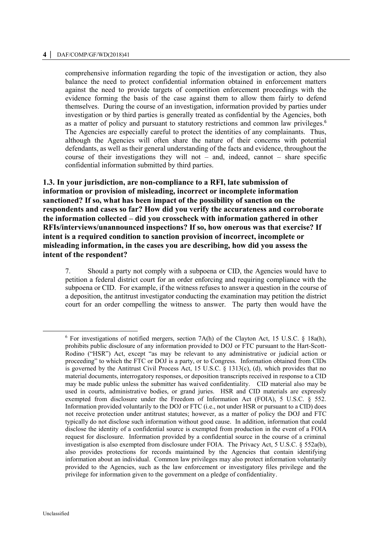### **4 │** DAF/COMP/GF/WD(2018)41

comprehensive information regarding the topic of the investigation or action, they also balance the need to protect confidential information obtained in enforcement matters against the need to provide targets of competition enforcement proceedings with the evidence forming the basis of the case against them to allow them fairly to defend themselves. During the course of an investigation, information provided by parties under investigation or by third parties is generally treated as confidential by the Agencies, both as a matter of policy and pursuant to statutory restrictions and common law privileges. 6 The Agencies are especially careful to protect the identities of any complainants. Thus, although the Agencies will often share the nature of their concerns with potential defendants, as well as their general understanding of the facts and evidence, throughout the course of their investigations they will not – and, indeed, cannot – share specific confidential information submitted by third parties.

**1.3. In your jurisdiction, are non-compliance to a RFI, late submission of information or provision of misleading, incorrect or incomplete information sanctioned? If so, what has been impact of the possibility of sanction on the respondents and cases so far? How did you verify the accurateness and corroborate the information collected – did you crosscheck with information gathered in other RFIs/interviews/unannounced inspections? If so, how onerous was that exercise? If intent is a required condition to sanction provision of incorrect, incomplete or misleading information, in the cases you are describing, how did you assess the intent of the respondent?** 

7. Should a party not comply with a subpoena or CID, the Agencies would have to petition a federal district court for an order enforcing and requiring compliance with the subpoena or CID. For example, if the witness refuses to answer a question in the course of a deposition, the antitrust investigator conducting the examination may petition the district court for an order compelling the witness to answer. The party then would have the

 $\ddot{\phantom{a}}$ 

 $6$  For investigations of notified mergers, section 7A(h) of the Clayton Act, 15 U.S.C.  $8$  18a(h), prohibits public disclosure of any information provided to DOJ or FTC pursuant to the Hart-Scott-Rodino ("HSR") Act, except "as may be relevant to any administrative or judicial action or proceeding" to which the FTC or DOJ is a party, or to Congress. Information obtained from CIDs is governed by the Antitrust Civil Process Act, 15 U.S.C. § 1313(c), (d), which provides that no material documents, interrogatory responses, or deposition transcripts received in response to a CID may be made public unless the submitter has waived confidentiality. CID material also may be used in courts, administrative bodies, or grand juries. HSR and CID materials are expressly exempted from disclosure under the Freedom of Information Act (FOIA), 5 U.S.C. § 552. Information provided voluntarily to the DOJ or FTC (i.e., not under HSR or pursuant to a CID) does not receive protection under antitrust statutes; however, as a matter of policy the DOJ and FTC typically do not disclose such information without good cause. In addition, information that could disclose the identity of a confidential source is exempted from production in the event of a FOIA request for disclosure. Information provided by a confidential source in the course of a criminal investigation is also exempted from disclosure under FOIA. The Privacy Act, 5 U.S.C. § 552a(b), also provides protections for records maintained by the Agencies that contain identifying information about an individual. Common law privileges may also protect information voluntarily provided to the Agencies, such as the law enforcement or investigatory files privilege and the privilege for information given to the government on a pledge of confidentiality.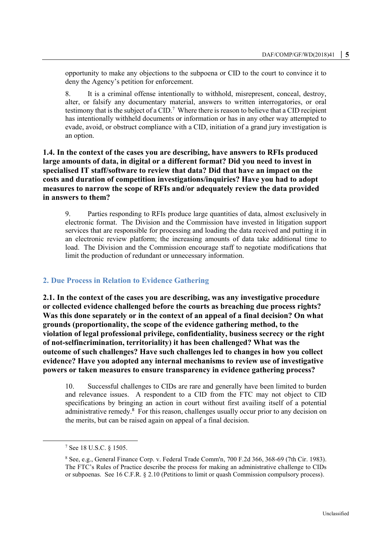opportunity to make any objections to the subpoena or CID to the court to convince it to deny the Agency's petition for enforcement.

8. It is a criminal offense intentionally to withhold, misrepresent, conceal, destroy, alter, or falsify any documentary material, answers to written interrogatories, or oral testimony that is the subject of a CID.<sup>7</sup> Where there is reason to believe that a CID recipient has intentionally withheld documents or information or has in any other way attempted to evade, avoid, or obstruct compliance with a CID, initiation of a grand jury investigation is an option.

# **1.4. In the context of the cases you are describing, have answers to RFIs produced large amounts of data, in digital or a different format? Did you need to invest in specialised IT staff/software to review that data? Did that have an impact on the costs and duration of competition investigations/inquiries? Have you had to adopt measures to narrow the scope of RFIs and/or adequately review the data provided in answers to them?**

9. Parties responding to RFIs produce large quantities of data, almost exclusively in electronic format. The Division and the Commission have invested in litigation support services that are responsible for processing and loading the data received and putting it in an electronic review platform; the increasing amounts of data take additional time to load. The Division and the Commission encourage staff to negotiate modifications that limit the production of redundant or unnecessary information.

## **2. Due Process in Relation to Evidence Gathering**

**2.1. In the context of the cases you are describing, was any investigative procedure or collected evidence challenged before the courts as breaching due process rights? Was this done separately or in the context of an appeal of a final decision? On what grounds (proportionality, the scope of the evidence gathering method, to the violation of legal professional privilege, confidentiality, business secrecy or the right of not-selfincrimination, territoriality) it has been challenged? What was the outcome of such challenges? Have such challenges led to changes in how you collect evidence? Have you adopted any internal mechanisms to review use of investigative powers or taken measures to ensure transparency in evidence gathering process?**

10. Successful challenges to CIDs are rare and generally have been limited to burden and relevance issues. A respondent to a CID from the FTC may not object to CID specifications by bringing an action in court without first availing itself of a potential administrative remedy.<sup>8</sup> For this reason, challenges usually occur prior to any decision on the merits, but can be raised again on appeal of a final decision.

 $\overline{a}$ 

<sup>7</sup> See 18 U.S.C. § 1505.

<sup>8</sup> See, e.g., General Finance Corp. v. Federal Trade Comm'n, 700 F.2d 366, 368-69 (7th Cir. 1983). The FTC's Rules of Practice describe the process for making an administrative challenge to CIDs or subpoenas. See 16 C.F.R. § 2.10 (Petitions to limit or quash Commission compulsory process).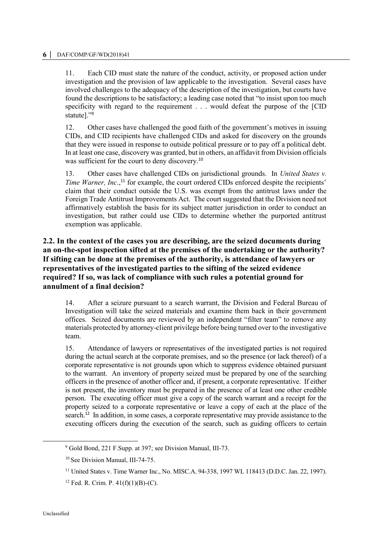11. Each CID must state the nature of the conduct, activity, or proposed action under investigation and the provision of law applicable to the investigation. Several cases have involved challenges to the adequacy of the description of the investigation, but courts have found the descriptions to be satisfactory; a leading case noted that "to insist upon too much specificity with regard to the requirement . . . would defeat the purpose of the [CID statute]."<sup>9</sup>

12. Other cases have challenged the good faith of the government's motives in issuing CIDs, and CID recipients have challenged CIDs and asked for discovery on the grounds that they were issued in response to outside political pressure or to pay off a political debt. In at least one case, discovery was granted, but in others, an affidavit from Division officials was sufficient for the court to deny discovery.<sup>10</sup>

13. Other cases have challenged CIDs on jurisdictional grounds. In *United States v. Time Warner, Inc*., <sup>11</sup> for example, the court ordered CIDs enforced despite the recipients' claim that their conduct outside the U.S. was exempt from the antitrust laws under the Foreign Trade Antitrust Improvements Act. The court suggested that the Division need not affirmatively establish the basis for its subject matter jurisdiction in order to conduct an investigation, but rather could use CIDs to determine whether the purported antitrust exemption was applicable.

# **2.2. In the context of the cases you are describing, are the seized documents during an on-the-spot inspection sifted at the premises of the undertaking or the authority? If sifting can be done at the premises of the authority, is attendance of lawyers or representatives of the investigated parties to the sifting of the seized evidence required? If so, was lack of compliance with such rules a potential ground for annulment of a final decision?**

14. After a seizure pursuant to a search warrant, the Division and Federal Bureau of Investigation will take the seized materials and examine them back in their government offices. Seized documents are reviewed by an independent "filter team" to remove any materials protected by attorney-client privilege before being turned over to the investigative team.

15. Attendance of lawyers or representatives of the investigated parties is not required during the actual search at the corporate premises, and so the presence (or lack thereof) of a corporate representative is not grounds upon which to suppress evidence obtained pursuant to the warrant. An inventory of property seized must be prepared by one of the searching officers in the presence of another officer and, if present, a corporate representative. If either is not present, the inventory must be prepared in the presence of at least one other credible person. The executing officer must give a copy of the search warrant and a receipt for the property seized to a corporate representative or leave a copy of each at the place of the search.<sup>12</sup> In addition, in some cases, a corporate representative may provide assistance to the executing officers during the execution of the search, such as guiding officers to certain

 $\overline{a}$ 

<sup>9</sup> Gold Bond, 221 F.Supp. at 397; see Division Manual, III-73.

<sup>10</sup> See Division Manual, III-74-75.

<sup>11</sup> United States v. Time Warner Inc., No. MISC.A. 94-338, 1997 WL 118413 (D.D.C. Jan. 22, 1997).

<sup>&</sup>lt;sup>12</sup> Fed. R. Crim. P.  $41(f)(1)(B)-(C)$ .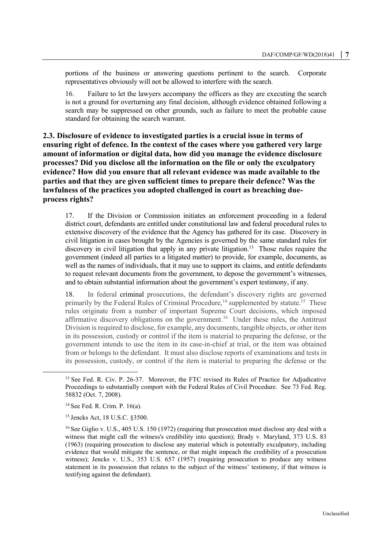portions of the business or answering questions pertinent to the search. Corporate representatives obviously will not be allowed to interfere with the search.

16. Failure to let the lawyers accompany the officers as they are executing the search is not a ground for overturning any final decision, although evidence obtained following a search may be suppressed on other grounds, such as failure to meet the probable cause standard for obtaining the search warrant.

**2.3. Disclosure of evidence to investigated parties is a crucial issue in terms of ensuring right of defence. In the context of the cases where you gathered very large amount of information or digital data, how did you manage the evidence disclosure processes? Did you disclose all the information on the file or only the exculpatory evidence? How did you ensure that all relevant evidence was made available to the parties and that they are given sufficient times to prepare their defence? Was the lawfulness of the practices you adopted challenged in court as breaching dueprocess rights?**

17. If the Division or Commission initiates an enforcement proceeding in a federal district court, defendants are entitled under constitutional law and federal procedural rules to extensive discovery of the evidence that the Agency has gathered for its case. Discovery in civil litigation in cases brought by the Agencies is governed by the same standard rules for discovery in civil litigation that apply in any private litigation.<sup>13</sup> Those rules require the government (indeed all parties to a litigated matter) to provide, for example, documents, as well as the names of individuals, that it may use to support its claims, and entitle defendants to request relevant documents from the government, to depose the government's witnesses, and to obtain substantial information about the government's expert testimony, if any.

<span id="page-6-0"></span>18. In federal criminal prosecutions, the defendant's discovery rights are governed primarily by the Federal Rules of Criminal Procedure,<sup>14</sup> supplemented by statute.<sup>15</sup> These rules originate from a number of important Supreme Court decisions, which imposed affirmative discovery obligations on the government.<sup>16</sup> Under these rules, the Antitrust Division is required to disclose, for example, any documents, tangible objects, or other item in its possession, custody or control if the item is material to preparing the defense, or the government intends to use the item in its case-in-chief at trial, or the item was obtained from or belongs to the defendant. It must also disclose reports of examinations and tests in its possession, custody, or control if the item is material to preparing the defense or the

 $\overline{a}$ 

<sup>&</sup>lt;sup>13</sup> See Fed. R. Civ. P. 26-37. Moreover, the FTC revised its Rules of Practice for Adjudicative Proceedings to substantially comport with the Federal Rules of Civil Procedure. See 73 Fed. Reg. 58832 (Oct. 7, 2008).

<sup>14</sup> See Fed. R. Crim. P. 16(a).

<sup>15</sup> Jencks Act, 18 U.S.C. §3500.

<sup>&</sup>lt;sup>16</sup> See Giglio v. U.S., 405 U.S. 150 (1972) (requiring that prosecution must disclose any deal with a witness that might call the witness's credibility into question); Brady v. Maryland, 373 U.S. 83 (1963) (requiring prosecution to disclose any material which is potentially exculpatory, including evidence that would mitigate the sentence, or that might impeach the credibility of a prosecution witness); Jencks v. U.S., 353 U.S. 657 (1957) (requiring prosecution to produce any witness statement in its possession that relates to the subject of the witness' testimony, if that witness is testifying against the defendant).